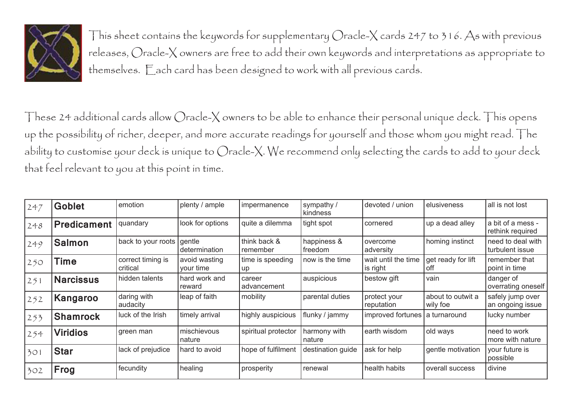

This sheet contains the keywords for supplementary Oracle-X cards 247 to 316. As with previous releases, Oracle-X owners are free to add their own keywords and interpretations as appropriate to themselves. Each card has been designed to work with all previous cards.

These 24 additional cards allow Oracle-X owners to be able to enhance their personal unique deck. This opens up the possibility of richer, deeper, and more accurate readings for yourself and those whom you might read. The ability to customise your deck is unique to Oracle-X. We recommend only selecting the cards to add to your deck that feel relevant to you at this point in time.

| 247   | <b>Goblet</b>      | emotion                       | plenty / ample             | impermanence             | sympathy /<br>kindness | devoted / union                  | elusiveness                   | all is not lost                       |
|-------|--------------------|-------------------------------|----------------------------|--------------------------|------------------------|----------------------------------|-------------------------------|---------------------------------------|
| 248   | <b>Predicament</b> | quandary                      | look for options           | quite a dilemma          | tight spot             | cornered                         | up a dead alley               | a bit of a mess -<br>rethink required |
| 249   | <b>Salmon</b>      | back to your roots            | gentle<br>determination    | think back &<br>remember | happiness &<br>freedom | overcome<br>adversity            | homing instinct               | need to deal with<br>turbulent issue  |
| 250   | Time               | correct timing is<br>critical | avoid wasting<br>your time | time is speeding<br>up   | now is the time        | wait until the time<br>is right  | get ready for lift<br>off     | remember that<br>point in time        |
| $251$ | <b>Narcissus</b>   | hidden talents                | hard work and<br>reward    | career<br>advancement    | auspicious             | bestow gift                      | vain                          | danger of<br>overrating oneself       |
| $252$ | Kangaroo           | daring with<br>audacity       | leap of faith              | mobility                 | parental duties        | protect your<br>reputation       | about to outwit a<br>wily foe | safely jump over<br>an ongoing issue  |
| 253   | Shamrock           | luck of the Irish             | timely arrival             | highly auspicious        | flunky / jammy         | improved fortunes   a turnaround |                               | lucky number                          |
| 254   | <b>Viridios</b>    | green man                     | mischievous<br>nature      | spiritual protector      | harmony with<br>nature | earth wisdom                     | old ways                      | need to work<br>more with nature      |
| 301   | <b>Star</b>        | lack of prejudice             | hard to avoid              | hope of fulfilment       | destination guide      | ask for help                     | gentle motivation             | your future is<br>possible            |
| 302   | Frog               | fecundity                     | healing                    | prosperity               | renewal                | health habits                    | overall success               | divine                                |